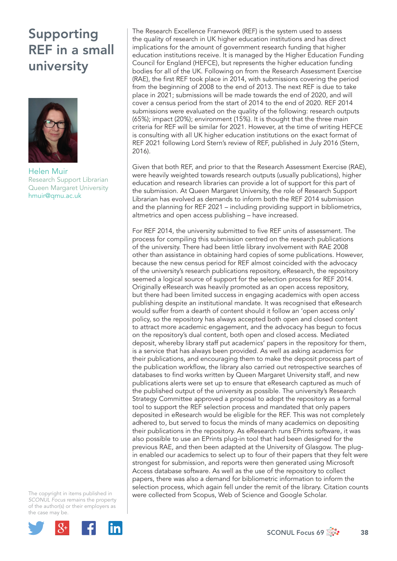## Supporting REF in a small university



Helen Muir Research Support Librarian Queen Margaret University hmuir@qmu.ac.uk

The copyright in items published in *SCONUL Focus* remains the property of the author(s) or their employers as the case may be.



The Research Excellence Framework (REF) is the system used to assess the quality of research in UK higher education institutions and has direct implications for the amount of government research funding that higher education institutions receive. It is managed by the Higher Education Funding Council for England (HEFCE), but represents the higher education funding bodies for all of the UK. Following on from the Research Assessment Exercise (RAE), the first REF took place in 2014, with submissions covering the period from the beginning of 2008 to the end of 2013. The next REF is due to take place in 2021; submissions will be made towards the end of 2020, and will cover a census period from the start of 2014 to the end of 2020. REF 2014 submissions were evaluated on the quality of the following: research outputs (65%); impact (20%); environment (15%). It is thought that the three main criteria for REF will be similar for 2021. However, at the time of writing HEFCE is consulting with all UK higher education institutions on the exact format of REF 2021 following Lord Stern's review of REF, published in July 2016 (Stern, 2016).

Given that both REF, and prior to that the Research Assessment Exercise (RAE), were heavily weighted towards research outputs (usually publications), higher education and research libraries can provide a lot of support for this part of the submission. At Queen Margaret University, the role of Research Support Librarian has evolved as demands to inform both the REF 2014 submission and the planning for REF 2021 – including providing support in bibliometrics, altmetrics and open access publishing – have increased.

For REF 2014, the university submitted to five REF units of assessment. The process for compiling this submission centred on the research publications of the university. There had been little library involvement with RAE 2008 other than assistance in obtaining hard copies of some publications. However, because the new census period for REF almost coincided with the advocacy of the university's research publications repository, eResearch, the repository seemed a logical source of support for the selection process for REF 2014. Originally eResearch was heavily promoted as an open access repository, but there had been limited success in engaging academics with open access publishing despite an institutional mandate. It was recognised that eResearch would suffer from a dearth of content should it follow an 'open access only' policy, so the repository has always accepted both open and closed content to attract more academic engagement, and the advocacy has begun to focus on the repository's dual content, both open and closed access. Mediated deposit, whereby library staff put academics' papers in the repository for them, is a service that has always been provided. As well as asking academics for their publications, and encouraging them to make the deposit process part of the publication workflow, the library also carried out retrospective searches of databases to find works written by Queen Margaret University staff, and new publications alerts were set up to ensure that eResearch captured as much of the published output of the university as possible. The university's Research Strategy Committee approved a proposal to adopt the repository as a formal tool to support the REF selection process and mandated that only papers deposited in eResearch would be eligible for the REF. This was not completely adhered to, but served to focus the minds of many academics on depositing their publications in the repository. As eResearch runs EPrints software, it was also possible to use an EPrints plug-in tool that had been designed for the previous RAE, and then been adapted at the University of Glasgow. The plugin enabled our academics to select up to four of their papers that they felt were strongest for submission, and reports were then generated using Microsoft Access database software. As well as the use of the repository to collect papers, there was also a demand for bibliometric information to inform the selection process, which again fell under the remit of the library. Citation counts were collected from Scopus, Web of Science and Google Scholar.

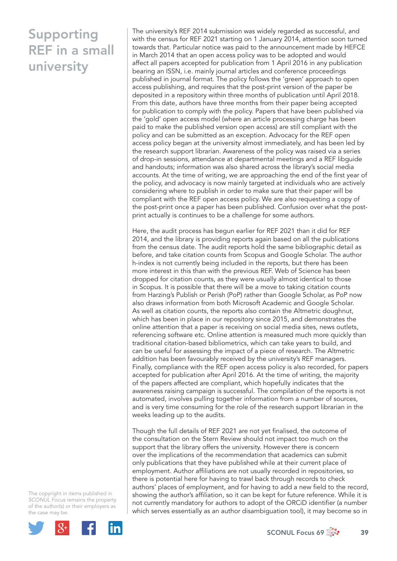## Supporting REF in a small university

The university's REF 2014 submission was widely regarded as successful, and with the census for REF 2021 starting on 1 January 2014, attention soon turned towards that. Particular notice was paid to the announcement made by HEFCE in March 2014 that an open access policy was to be adopted and would affect all papers accepted for publication from 1 April 2016 in any publication bearing an ISSN, i.e. mainly journal articles and conference proceedings published in journal format. The policy follows the 'green' approach to open access publishing, and requires that the post-print version of the paper be deposited in a repository within three months of publication until April 2018. From this date, authors have three months from their paper being accepted for publication to comply with the policy. Papers that have been published via the 'gold' open access model (where an article processing charge has been paid to make the published version open access) are still compliant with the policy and can be submitted as an exception. Advocacy for the REF open access policy began at the university almost immediately, and has been led by the research support librarian. Awareness of the policy was raised via a series of drop-in sessions, attendance at departmental meetings and a REF libguide and handouts; information was also shared across the library's social media accounts. At the time of writing, we are approaching the end of the first year of the policy, and advocacy is now mainly targeted at individuals who are actively considering where to publish in order to make sure that their paper will be compliant with the REF open access policy. We are also requesting a copy of the post-print once a paper has been published. Confusion over what the postprint actually is continues to be a challenge for some authors.

Here, the audit process has begun earlier for REF 2021 than it did for REF 2014, and the library is providing reports again based on all the publications from the census date. The audit reports hold the same bibliographic detail as before, and take citation counts from Scopus and Google Scholar. The author h-index is not currently being included in the reports, but there has been more interest in this than with the previous REF. Web of Science has been dropped for citation counts, as they were usually almost identical to those in Scopus. It is possible that there will be a move to taking citation counts from Harzing's Publish or Perish (PoP) rather than Google Scholar, as PoP now also draws information from both Microsoft Academic and Google Scholar. As well as citation counts, the reports also contain the Altmetric doughnut, which has been in place in our repository since 2015, and demonstrates the online attention that a paper is receiving on social media sites, news outlets, referencing software etc. Online attention is measured much more quickly than traditional citation-based bibliometrics, which can take years to build, and can be useful for assessing the impact of a piece of research. The Altmetric addition has been favourably received by the university's REF managers. Finally, compliance with the REF open access policy is also recorded, for papers accepted for publication after April 2016. At the time of writing, the majority of the papers affected are compliant, which hopefully indicates that the awareness raising campaign is successful. The compilation of the reports is not automated, involves pulling together information from a number of sources, and is very time consuming for the role of the research support librarian in the weeks leading up to the audits.

Though the full details of REF 2021 are not yet finalised, the outcome of the consultation on the Stern Review should not impact too much on the support that the library offers the university. However there is concern over the implications of the recommendation that academics can submit only publications that they have published while at their current place of employment. Author affiliations are not usually recorded in repositories, so there is potential here for having to trawl back through records to check authors' places of employment, and for having to add a new field to the record, showing the author's affiliation, so it can be kept for future reference. While it is not currently mandatory for authors to adopt of the ORCiD identifier (a number which serves essentially as an author disambiguation tool), it may become so in

The copyright in items published in *SCONUL Focus* remains the property of the author(s) or their employers as the case may be.



SCONUL Focus 69  $\frac{3}{200}$  39